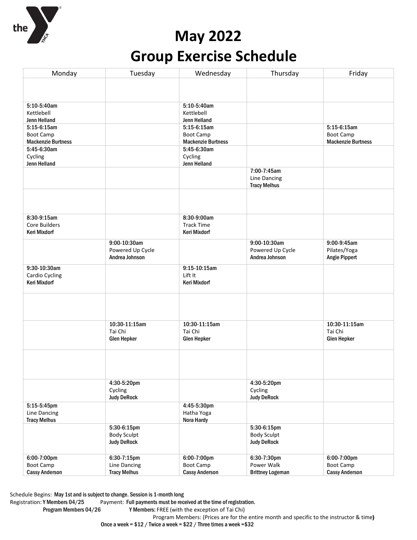

# **May 2022 Group Exercise Schedule**

| Monday                    | Tuesday                            | Wednesday                 | Thursday                                   | Friday                    |
|---------------------------|------------------------------------|---------------------------|--------------------------------------------|---------------------------|
|                           |                                    |                           |                                            |                           |
|                           |                                    |                           |                                            |                           |
| 5:10-5:40am               |                                    | 5:10-5:40am               |                                            |                           |
| Kettlebell                |                                    | Kettlebell                |                                            |                           |
| Jenn Helland              |                                    | Jenn Helland              |                                            |                           |
| $5:15-6:15am$             |                                    | 5:15-6:15am               |                                            | 5:15-6:15am               |
| <b>Boot Camp</b>          |                                    | Boot Camp                 |                                            | Boot Camp                 |
| <b>Mackenzie Burtness</b> |                                    | <b>Mackenzie Burtness</b> |                                            | <b>Mackenzie Burtness</b> |
| 5:45-6:30am               |                                    | 5:45-6:30am               |                                            |                           |
| Cycling                   |                                    | Cycling                   |                                            |                           |
| Jenn Helland              |                                    | Jenn Helland              |                                            |                           |
|                           |                                    |                           | 7:00-7:45am                                |                           |
|                           |                                    |                           | <b>Line Dancing</b><br><b>Tracy Melhus</b> |                           |
|                           |                                    |                           |                                            |                           |
|                           |                                    |                           |                                            |                           |
|                           |                                    |                           |                                            |                           |
| 8:30-9:15am               |                                    | 8:30-9:00am               |                                            |                           |
| Core Builders             |                                    | <b>Track Time</b>         |                                            |                           |
| <b>Keri Mixdorf</b>       |                                    | Keri Mixdorf              |                                            |                           |
|                           |                                    |                           |                                            |                           |
|                           | 9:00-10:30am                       |                           | 9:00-10:30am                               | 9:00-9:45am               |
|                           | Powered Up Cycle<br>Andrea Johnson |                           | Powered Up Cycle<br>Andrea Johnson         | Pilates/Yoga              |
|                           |                                    |                           |                                            | <b>Angie Pippert</b>      |
| 9:30-10:30am              |                                    | $9:15-10:15am$            |                                            |                           |
| Cardio Cycling            |                                    | Lift It                   |                                            |                           |
| <b>Keri Mixdorf</b>       |                                    | Keri Mixdorf              |                                            |                           |
|                           |                                    |                           |                                            |                           |
|                           |                                    |                           |                                            |                           |
|                           |                                    |                           |                                            |                           |
|                           |                                    |                           |                                            |                           |
|                           | 10:30-11:15am                      | 10:30-11:15am             |                                            | 10:30-11:15am             |
|                           | Tai Chi                            | Tai Chi                   |                                            | Tai Chi                   |
|                           | <b>Glen Hepker</b>                 | <b>Glen Hepker</b>        |                                            | <b>Glen Hepker</b>        |
|                           |                                    |                           |                                            |                           |
|                           |                                    |                           |                                            |                           |
|                           |                                    |                           |                                            |                           |
|                           |                                    |                           |                                            |                           |
|                           | 4:30-5:20pm                        |                           | 4:30-5:20pm                                |                           |
|                           | Cycling                            |                           | Cycling                                    |                           |
|                           | <b>Judy DeRock</b>                 |                           | <b>Judy DeRock</b>                         |                           |
| 5:15-5:45pm               |                                    | 4:45-5:30pm               |                                            |                           |
| Line Dancing              |                                    | Hatha Yoga                |                                            |                           |
| <b>Tracy Melhus</b>       |                                    | Nora Hardy                |                                            |                           |
|                           | 5:30-6:15pm                        |                           | $5:30-6:15$ pm                             |                           |
|                           | <b>Body Sculpt</b>                 |                           | <b>Body Sculpt</b>                         |                           |
|                           | <b>Judy DeRock</b>                 |                           | <b>Judy DeRock</b>                         |                           |
|                           |                                    |                           |                                            |                           |
| 6:00-7:00pm               | 6:30-7:15pm                        | 6:00-7:00pm               | 6:30-7:30pm                                | 6:00-7:00pm               |
| <b>Boot Camp</b>          | Line Dancing                       | <b>Boot Camp</b>          | Power Walk                                 | <b>Boot Camp</b>          |
| <b>Cassy Anderson</b>     | <b>Tracy Melhus</b>                | <b>Cassy Anderson</b>     | <b>Brittney Logeman</b>                    | <b>Cassy Anderson</b>     |

Schedule Begins: May 1st and is subject to change. Session is 1-month long

Registration: Y Members 04/25 Payment: Full payments must be received at the time of registration.<br>Program Members 04/26 Y Members: FREE (with the exception of Tai Chi)

Y Members: FREE (with the exception of Tai Chi)

Program Members: (Prices are for the entire month and specific to the instructor & time)

Once a week = \$12 / Twice a week = \$22 / Three times a week =\$32